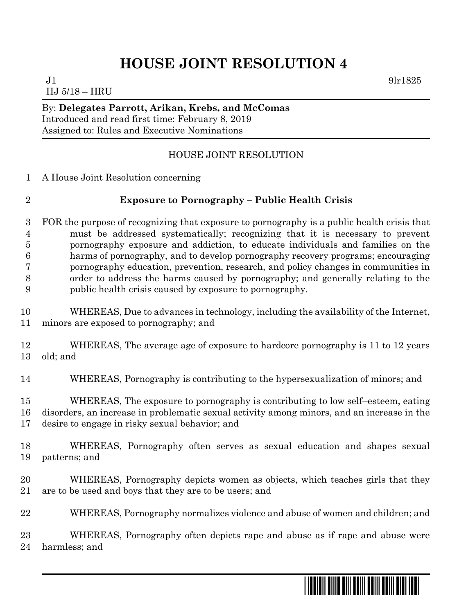## **HOUSE JOINT RESOLUTION 4**

 $J1$  9lr1825 HJ 5/18 – HRU

By: **Delegates Parrott, Arikan, Krebs, and McComas** Introduced and read first time: February 8, 2019 Assigned to: Rules and Executive Nominations

## HOUSE JOINT RESOLUTION

A House Joint Resolution concerning

## **Exposure to Pornography – Public Health Crisis**

- FOR the purpose of recognizing that exposure to pornography is a public health crisis that must be addressed systematically; recognizing that it is necessary to prevent pornography exposure and addiction, to educate individuals and families on the harms of pornography, and to develop pornography recovery programs; encouraging pornography education, prevention, research, and policy changes in communities in order to address the harms caused by pornography; and generally relating to the public health crisis caused by exposure to pornography.
- WHEREAS, Due to advances in technology, including the availability of the Internet, minors are exposed to pornography; and
- WHEREAS, The average age of exposure to hardcore pornography is 11 to 12 years old; and
- WHEREAS, Pornography is contributing to the hypersexualization of minors; and

 WHEREAS, The exposure to pornography is contributing to low self–esteem, eating disorders, an increase in problematic sexual activity among minors, and an increase in the desire to engage in risky sexual behavior; and

- WHEREAS, Pornography often serves as sexual education and shapes sexual patterns; and
- WHEREAS, Pornography depicts women as objects, which teaches girls that they are to be used and boys that they are to be users; and
- WHEREAS, Pornography normalizes violence and abuse of women and children; and

 WHEREAS, Pornography often depicts rape and abuse as if rape and abuse were harmless; and